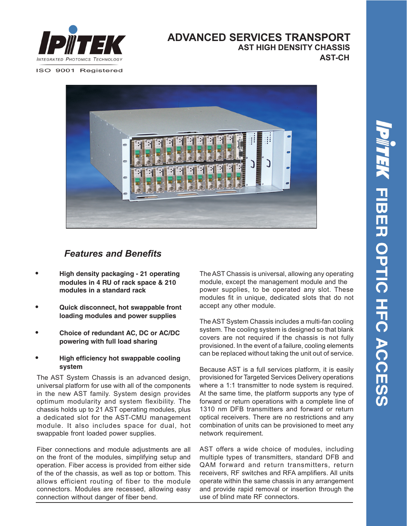

#### **ADVANCED SERVICES TRANSPORT AST-CH AST HIGH DENSITY CHASSIS**

ISO 9001 Registered



### *Features and Benefits*

- **• High density packaging 21 operating modules in 4 RU of rack space & 210 modules in a standard rack**
- **• Quick disconnect, hot swappable front loading modules and power supplies**
- **• Choice of redundant AC, DC or AC/DC powering with full load sharing**
- **• High efficiency hot swappable cooling system**

The AST System Chassis is an advanced design, universal platform for use with all of the components in the new AST family. System design provides optimum modularity and system flexibility. The chassis holds up to 21 AST operating modules, plus a dedicated slot for the AST-CMU management module. It also includes space for dual, hot swappable front loaded power supplies.

Fiber connections and module adjustments are all on the front of the modules, simplifying setup and operation. Fiber access is provided from either side of the of the chassis, as well as top or bottom. This allows efficient routing of fiber to the module connectors. Modules are recessed, allowing easy connection without danger of fiber bend.

The AST Chassis is universal, allowing any operating module, except the management module and the power supplies, to be operated any slot. These modules fit in unique, dedicated slots that do not accept any other module.

The AST System Chassis includes a multi-fan cooling system. The cooling system is designed so that blank covers are not required if the chassis is not fully provisioned. In the event of a failure, cooling elements can be replaced without taking the unit out of service.

Because AST is a full services platform, it is easily provisioned for Targeted Services Delivery operations where a 1:1 transmitter to node system is required. At the same time, the platform supports any type of forward or return operations with a complete line of 1310 nm DFB transmitters and forward or return optical receivers. There are no restrictions and any combination of units can be provisioned to meet any network requirement.

AST offers a wide choice of modules, including multiple types of transmitters, standard DFB and QAM forward and return transmitters, return receivers, RF switches and RFA amplifiers. All units operate within the same chassis in any arrangement and provide rapid removal or insertion through the use of blind mate RF connectors.